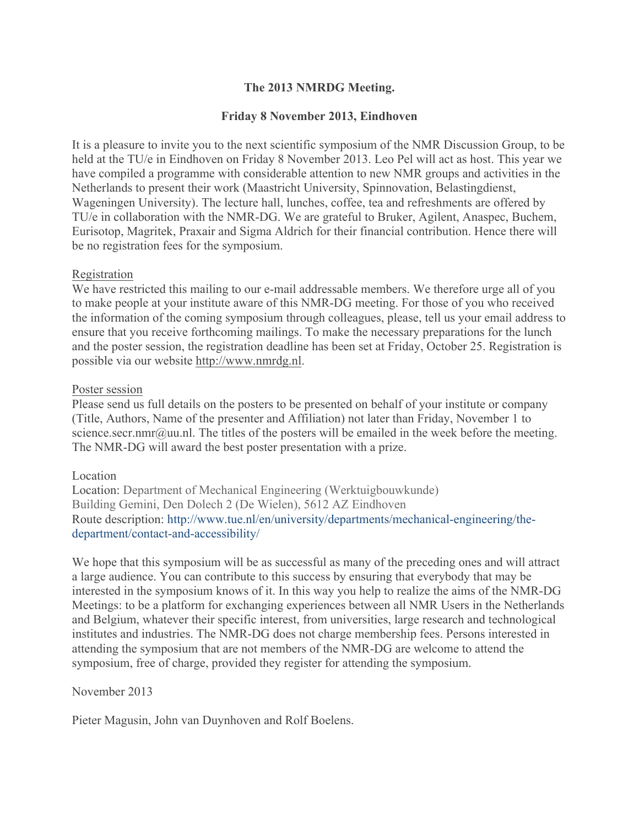# **The 2013 NMRDG Meeting.**

## **Friday 8 November 2013, Eindhoven**

It is a pleasure to invite you to the next scientific symposium of the NMR Discussion Group, to be held at the TU/e in Eindhoven on Friday 8 November 2013. Leo Pel will act as host. This year we have compiled a programme with considerable attention to new NMR groups and activities in the Netherlands to present their work (Maastricht University, Spinnovation, Belastingdienst, Wageningen University). The lecture hall, lunches, coffee, tea and refreshments are offered by TU/e in collaboration with the NMR-DG. We are grateful to Bruker, Agilent, Anaspec, Buchem, Eurisotop, Magritek, Praxair and Sigma Aldrich for their financial contribution. Hence there will be no registration fees for the symposium.

### Registration

We have restricted this mailing to our e-mail addressable members. We therefore urge all of you to make people at your institute aware of this NMR-DG meeting. For those of you who received the information of the coming symposium through colleagues, please, tell us your email address to ensure that you receive forthcoming mailings. To make the necessary preparations for the lunch and the poster session, the registration deadline has been set at Friday, October 25. Registration is possible via our website http://www.nmrdg.nl.

### Poster session

Please send us full details on the posters to be presented on behalf of your institute or company (Title, Authors, Name of the presenter and Affiliation) not later than Friday, November 1 to science.secr.nmr@uu.nl. The titles of the posters will be emailed in the week before the meeting. The NMR-DG will award the best poster presentation with a prize.

### Location

Location: Department of Mechanical Engineering (Werktuigbouwkunde) Building Gemini, Den Dolech 2 (De Wielen), 5612 AZ Eindhoven Route description: http://www.tue.nl/en/university/departments/mechanical-engineering/thedepartment/contact-and-accessibility/

We hope that this symposium will be as successful as many of the preceding ones and will attract a large audience. You can contribute to this success by ensuring that everybody that may be interested in the symposium knows of it. In this way you help to realize the aims of the NMR-DG Meetings: to be a platform for exchanging experiences between all NMR Users in the Netherlands and Belgium, whatever their specific interest, from universities, large research and technological institutes and industries. The NMR-DG does not charge membership fees. Persons interested in attending the symposium that are not members of the NMR-DG are welcome to attend the symposium, free of charge, provided they register for attending the symposium.

# November 2013

Pieter Magusin, John van Duynhoven and Rolf Boelens.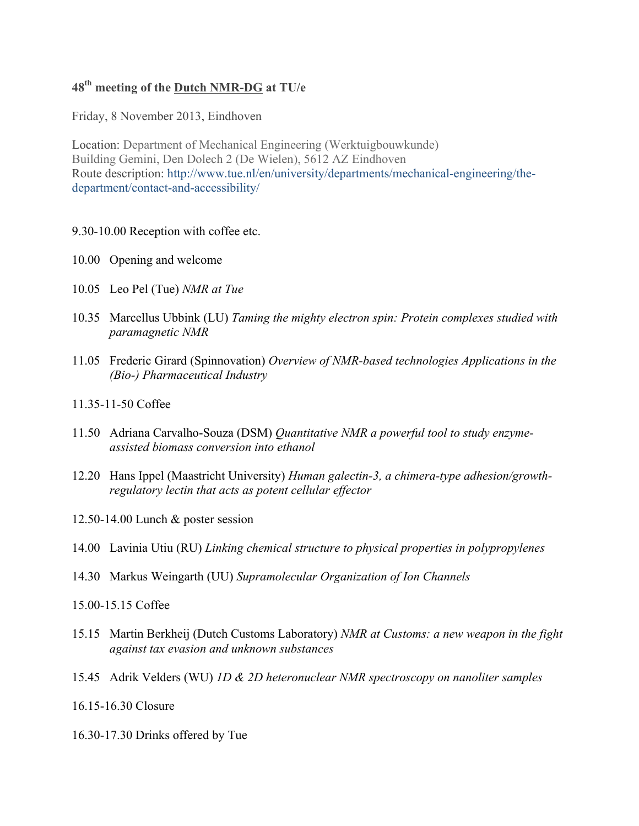# **48th meeting of the Dutch NMR-DG at TU/e**

Friday, 8 November 2013, Eindhoven

Location: Department of Mechanical Engineering (Werktuigbouwkunde) Building Gemini, Den Dolech 2 (De Wielen), 5612 AZ Eindhoven Route description: http://www.tue.nl/en/university/departments/mechanical-engineering/thedepartment/contact-and-accessibility/

#### 9.30-10.00 Reception with coffee etc.

- 10.00 Opening and welcome
- 10.05 Leo Pel (Tue) *NMR at Tue*
- 10.35 Marcellus Ubbink (LU) *Taming the mighty electron spin: Protein complexes studied with paramagnetic NMR*
- 11.05 Frederic Girard (Spinnovation) *Overview of NMR-based technologies Applications in the (Bio-) Pharmaceutical Industry*
- 11.35-11-50 Coffee
- 11.50 Adriana Carvalho-Souza (DSM) *Quantitative NMR a powerful tool to study enzymeassisted biomass conversion into ethanol*
- 12.20 Hans Ippel (Maastricht University) *Human galectin-3, a chimera-type adhesion/growthregulatory lectin that acts as potent cellular effector*
- 12.50-14.00 Lunch & poster session
- 14.00 Lavinia Utiu (RU) *Linking chemical structure to physical properties in polypropylenes*
- 14.30 Markus Weingarth (UU) *Supramolecular Organization of Ion Channels*
- 15.00-15.15 Coffee
- 15.15 Martin Berkheij (Dutch Customs Laboratory) *NMR at Customs: a new weapon in the fight against tax evasion and unknown substances*
- 15.45 Adrik Velders (WU) *1D & 2D heteronuclear NMR spectroscopy on nanoliter samples*
- 16.15-16.30 Closure
- 16.30-17.30 Drinks offered by Tue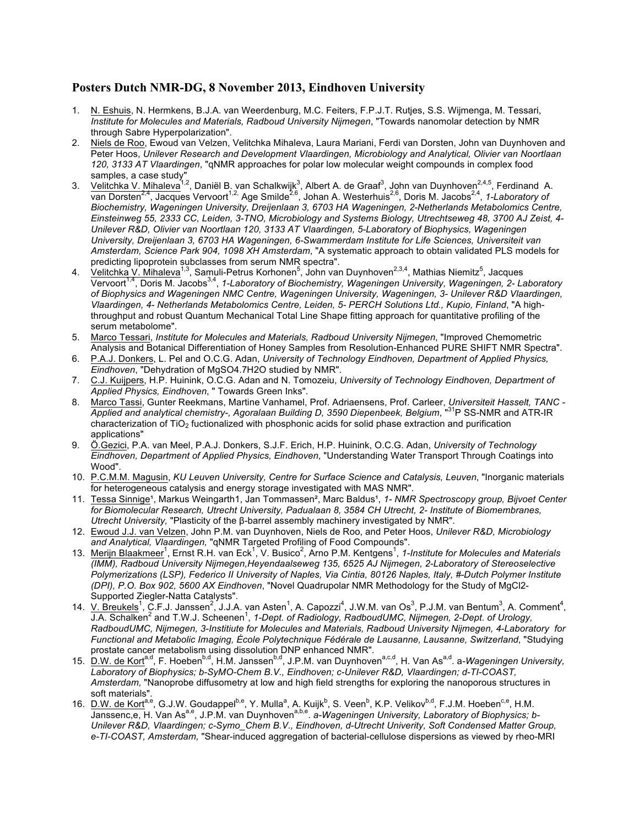#### **Posters Dutch NMR-DG, 8 November 2013, Eindhoven University**

- 1. N. Eshuis, N. Hermkens, B.J.A. van Weerdenburg, M.C. Feiters, F.P.J.T. Rutjes, S.S. Wijmenga, M. Tessari, *Institute for Molecules and Materials, Radboud University Nijmegen*, "Towards nanomolar detection by NMR through Sabre Hyperpolarization".
- 2. Niels de Roo, Ewoud van Velzen, Velitchka Mihaleva, Laura Mariani, Ferdi van Dorsten, John van Duynhoven and Peter Hoos, *Unilever Research and Development Vlaardingen, Microbiology and Analytical, Olivier van Noortlaan 120, 3133 AT Vlaardingen*, "qNMR approaches for polar low molecular weight compounds in complex food samples, a case study"
- 3. Velitchka V. Mihaleva<sup>1,2</sup>, Daniël B. van Schalkwijk<sup>3</sup>, Albert A. de Graaf<sup>3</sup>, John van Duynhoven<sup>2,4,5</sup>, Ferdinand A. van Dorsten<sup>2,4</sup>, Jacques Vervoort<sup>1,2,</sup> Age Smilde<sup>2,6</sup>, Johan A. Westerhuis<sup>2,6</sup>, Doris M. Jacobs<sup>2,4</sup>, 1-Laboratory of *Biochemistry, Wageningen University, Dreijenlaan 3, 6703 HA Wageningen, 2-Netherlands Metabolomics Centre, Einsteinweg 55, 2333 CC, Leiden, 3-TNO, Microbiology and Systems Biology, Utrechtseweg 48, 3700 AJ Zeist, 4- Unilever R&D, Olivier van Noortlaan 120, 3133 AT Vlaardingen, 5-Laboratory of Biophysics, Wageningen University, Dreijenlaan 3, 6703 HA Wageningen, 6-Swammerdam Institute for Life Sciences, Universiteit van Amsterdam, Science Park 904, 1098 XH Amsterdam*, "A systematic approach to obtain validated PLS models for predicting lipoprotein subclasses from serum NMR spectra".
- 4. Velitchka V. Mihaleva<sup>1,3</sup>, Samuli-Petrus Korhonen<sup>5</sup>, John van Duynhoven<sup>2,3,4</sup>, Mathias Niemitz<sup>5</sup>, Jacques Vervoort1,4, Doris M. Jacobs3,4, *1-Laboratory of Biochemistry, Wageningen University, Wageningen, 2- Laboratory of Biophysics and Wageningen NMC Centre, Wageningen University, Wageningen, 3- Unilever R&D Vlaardingen, Vlaardingen, 4- Netherlands Metabolomics Centre, Leiden, 5- PERCH Solutions Ltd., Kupio, Finland*, "A highthroughput and robust Quantum Mechanical Total Line Shape fitting approach for quantitative profiling of the serum metabolome".
- 5. Marco Tessari, *Institute for Molecules and Materials, Radboud University Nijmegen*, "Improved Chemometric Analysis and Botanical Differentiation of Honey Samples from Resolution-Enhanced PURE SHIFT NMR Spectra".
- 6. P.A.J. Donkers, L. Pel and O.C.G. Adan, *University of Technology Eindhoven, Department of Applied Physics, Eindhoven*, "Dehydration of MgSO4.7H2O studied by NMR".
- 7. C.J. Kuijpers, H.P. Huinink, O.C.G. Adan and N. Tomozeiu, *University of Technology Eindhoven, Department of Applied Physics, Eindhoven*, " Towards Green Inks".
- 8. Marco Tassi, Gunter Reekmans, Martine Vanhamel, Prof. Adriaensens, Prof. Carleer, *Universiteit Hasselt, TANC - Applied and analytical chemistry-, Agoralaan Building D, 3590 Diepenbeek, Belgium*, "31P SS-NMR and ATR-IR characterization of TiO2 fuctionalized with phosphonic acids for solid phase extraction and purification applications"
- 9. Ö.Gezici, P.A. van Meel, P.A.J. Donkers, S.J.F. Erich, H.P. Huinink, O.C.G. Adan, *University of Technology Eindhoven, Department of Applied Physics, Eindhoven*, "Understanding Water Transport Through Coatings into Wood".
- 10. P.C.M.M. Magusin, *KU Leuven University, Centre for Surface Science and Catalysis, Leuven*, "Inorganic materials for heterogeneous catalysis and energy storage investigated with MAS NMR".
- 11. Tessa Sinnige<sup>1</sup>, Markus Weingarth1, Jan Tommassen<sup>2</sup>, Marc Baldus<sup>1</sup>, 1- *NMR Spectroscopy group, Bijvoet Center for Biomolecular Research, Utrecht University, Padualaan 8, 3584 CH Utrecht, 2- Institute of Biomembranes, Utrecht University,* "Plasticity of the β-barrel assembly machinery investigated by NMR".
- 12. Ewoud J.J. van Velzen, John P.M. van Duynhoven, Niels de Roo, and Peter Hoos, *Unilever R&D, Microbiology and Analytical, Vlaardingen,* "qNMR Targeted Profiling of Food Compounds".
- 13. Merijn Blaakmeer<sup>1</sup>, Ernst R.H. van Eck<sup>1</sup>, V. Busico<sup>2</sup>, Arno P.M. Kentgens<sup>1</sup>, 1-Institute for Molecules and Materials *(IMM), Radboud University Nijmegen,Heyendaalseweg 135, 6525 AJ Nijmegen, 2-Laboratory of Stereoselective Polymerizations (LSP), Federico II University of Naples, Via Cintia, 80126 Naples, Italy, #-Dutch Polymer Institute (DPI), P.O. Box 902, 5600 AX Eindhoven*, "Novel Quadrupolar NMR Methodology for the Study of MgCl2- Supported Ziegler-Natta Catalysts".
- 14. V. Breukels<sup>1</sup>, C.F.J. Janssen<sup>2</sup>, J.J.A. van Asten<sup>1</sup>, A. Capozzi<sup>4</sup>, J.W.M. van Os<sup>3</sup>, P.J.M. van Bentum<sup>3</sup>, A. Comment<sup>4</sup>, J.A. Schalken<sup>2</sup> and T.W.J. Scheenen<sup>1</sup>, 1-Dept. of Radiology, RadboudUMC, Nijmegen, 2-Dept. of Urology, *RadboudUMC, Nijmegen, 3-Institiute for Molecules and Materials, Radboud University Nijmegen, 4-Laboratory for Functional and Metabolic Imaging, École Polytechnique Fédérale de Lausanne, Lausanne, Switzerland*, "Studying prostate cancer metabolism using dissolution DNP enhanced NMR".
- 15. D.W. de Kort<sup>a,d</sup>, F. Hoeben<sup>b,d</sup>, H.M. Janssen<sup>b,d</sup>, J.P.M. van Duynhoven<sup>a,c,d</sup>, H. Van As<sup>a,d</sup>. a-Wageningen University, *Laboratory of Biophysics; b-SyMO-Chem B.V., Eindhoven; c-Unilever R&D, Vlaardingen; d-TI-COAST, Amsterdam,* "Nanoprobe diffusometry at low and high field strengths for exploring the nanoporous structures in soft materials".
- 16. D.W. de Kort<sup>a,e</sup>, G.J.W. Goudappel<sup>b,e</sup>, Y. Mulla<sup>a</sup>, A. Kuijk<sup>b</sup>, S. Veen<sup>b</sup>, K.P. Velikov<sup>b,d</sup>, F.J.M. Hoeben<sup>c,e</sup>, H.M. Janssenc,e, H. Van As<sup>a,e</sup>, J.P.M. van Duynhoven<sup>a,b,e</sup>. a-Wageningen University, Laboratory of Biophysics; b-*Unilever R&D, Vlaardingen; c-Symo\_Chem B.V., Eindhoven, d-Utrecht Univerity, Soft Condensed Matter Group, e-TI-COAST, Amsterdam,* "Shear-induced aggregation of bacterial-cellulose dispersions as viewed by rheo-MRI